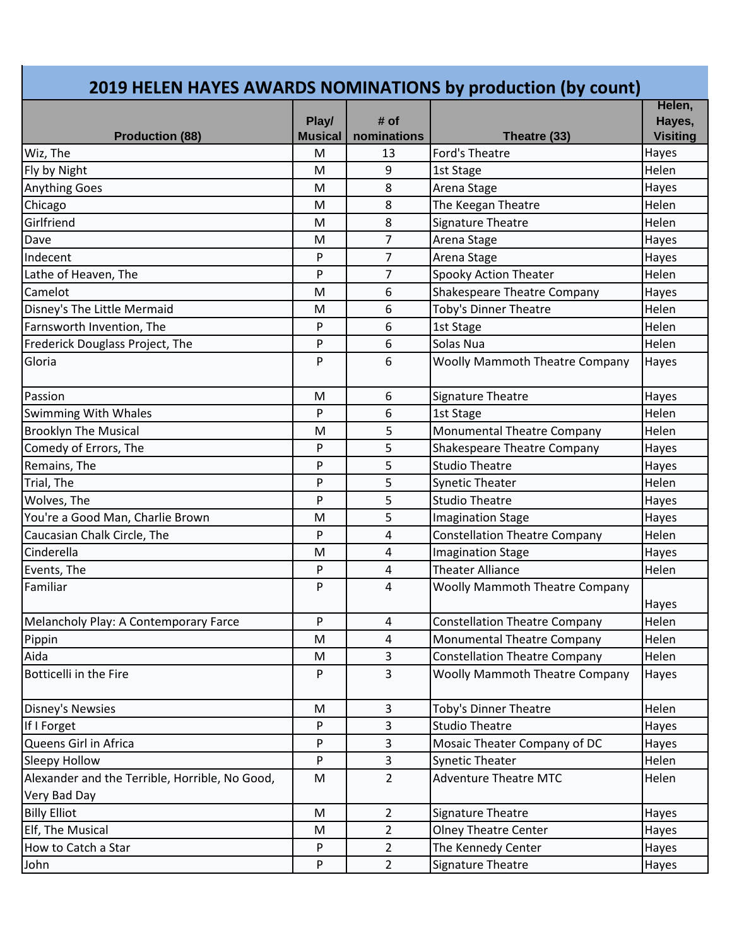## **2019 HELEN HAYES AWARDS NOMINATIONS by production (by count)**

|                                                                | Play/          | # of           |                                       | Helen,<br>Hayes, |
|----------------------------------------------------------------|----------------|----------------|---------------------------------------|------------------|
| <b>Production (88)</b>                                         | <b>Musical</b> | nominations    | Theatre (33)                          | <b>Visiting</b>  |
| Wiz, The                                                       | M              | 13             | Ford's Theatre                        | Hayes            |
| Fly by Night                                                   | M              | 9              | 1st Stage                             | Helen            |
| <b>Anything Goes</b>                                           | M              | 8              | Arena Stage                           | Hayes            |
| Chicago                                                        | M              | 8              | The Keegan Theatre                    | Helen            |
| Girlfriend                                                     | M              | 8              | Signature Theatre                     | Helen            |
| Dave                                                           | M              | 7              | Arena Stage                           | Hayes            |
| Indecent                                                       | P              | 7              | Arena Stage                           | Hayes            |
| Lathe of Heaven, The                                           | P              | $\overline{7}$ | <b>Spooky Action Theater</b>          | Helen            |
| Camelot                                                        | M              | 6              | <b>Shakespeare Theatre Company</b>    | Hayes            |
| Disney's The Little Mermaid                                    | M              | 6              | Toby's Dinner Theatre                 | Helen            |
| Farnsworth Invention, The                                      | P              | 6              | 1st Stage                             | Helen            |
| Frederick Douglass Project, The                                | P              | 6              | Solas Nua                             | Helen            |
| Gloria                                                         | P              | 6              | <b>Woolly Mammoth Theatre Company</b> | Hayes            |
| Passion                                                        | M              | 6              | Signature Theatre                     | Hayes            |
| <b>Swimming With Whales</b>                                    | P              | 6              | 1st Stage                             | Helen            |
| <b>Brooklyn The Musical</b>                                    | M              | 5              | Monumental Theatre Company            | Helen            |
| Comedy of Errors, The                                          | P              | 5              | Shakespeare Theatre Company           | Hayes            |
| Remains, The                                                   | P              | 5              | <b>Studio Theatre</b>                 | Hayes            |
| Trial, The                                                     | P              | 5              | <b>Synetic Theater</b>                | Helen            |
| Wolves, The                                                    | P              | 5              | <b>Studio Theatre</b>                 | Hayes            |
| You're a Good Man, Charlie Brown                               | M              | 5              | <b>Imagination Stage</b>              | Hayes            |
| Caucasian Chalk Circle, The                                    | P              | 4              | <b>Constellation Theatre Company</b>  | Helen            |
| Cinderella                                                     | M              | 4              | <b>Imagination Stage</b>              | Hayes            |
| Events, The                                                    | P              | 4              | <b>Theater Alliance</b>               | Helen            |
| Familiar                                                       | P              | 4              | <b>Woolly Mammoth Theatre Company</b> | <b>Hayes</b>     |
| Melancholy Play: A Contemporary Farce                          | P              | 4              | <b>Constellation Theatre Company</b>  | Helen            |
| Pippin                                                         | ${\sf M}$      | $\pmb{4}$      | Monumental Theatre Company            | Helen            |
| Aida                                                           | M              | 3              | <b>Constellation Theatre Company</b>  | Helen            |
| <b>Botticelli in the Fire</b>                                  | P              | 3              | <b>Woolly Mammoth Theatre Company</b> | Hayes            |
| Disney's Newsies                                               | M              | 3              | Toby's Dinner Theatre                 | Helen            |
| If I Forget                                                    | P              | 3              | <b>Studio Theatre</b>                 | Hayes            |
| Queens Girl in Africa                                          | P              | 3              | Mosaic Theater Company of DC          | Hayes            |
| Sleepy Hollow                                                  | P              | 3              | <b>Synetic Theater</b>                | Helen            |
| Alexander and the Terrible, Horrible, No Good,<br>Very Bad Day | M              | $\overline{2}$ | <b>Adventure Theatre MTC</b>          | Helen            |
| <b>Billy Elliot</b>                                            | M              | $\overline{2}$ | Signature Theatre                     | Hayes            |
| Elf, The Musical                                               | M              | $\overline{2}$ | <b>Olney Theatre Center</b>           | Hayes            |
| How to Catch a Star                                            | P              | $\overline{2}$ | The Kennedy Center                    | Hayes            |
| John                                                           | P              | $\overline{2}$ | Signature Theatre                     | Hayes            |
|                                                                |                |                |                                       |                  |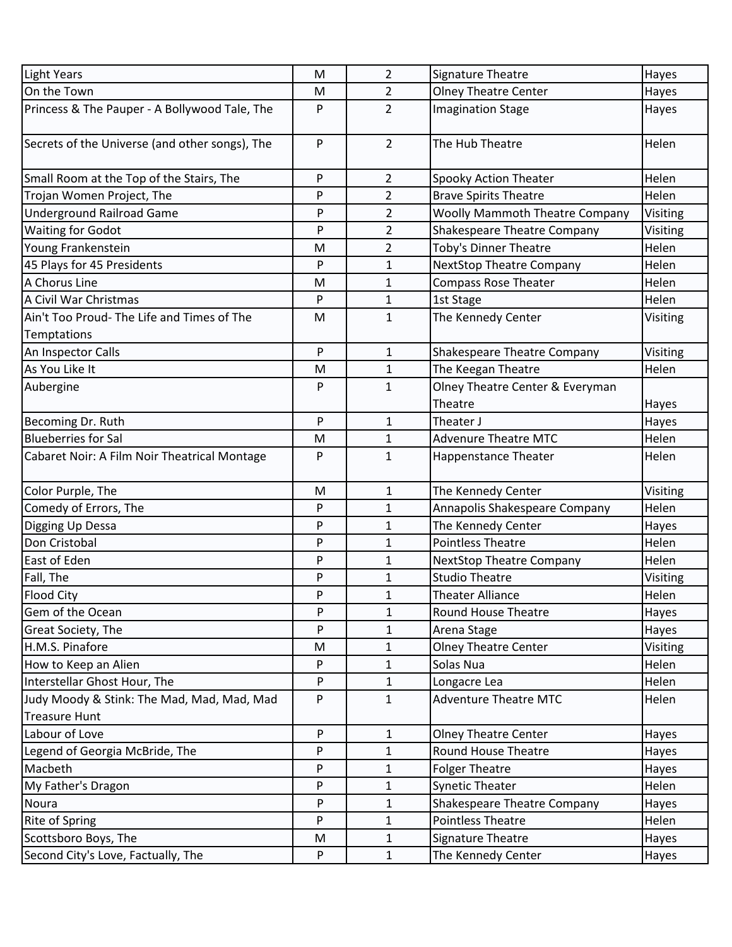| Light Years                                    | M         | $\overline{2}$ | Signature Theatre                     | Hayes    |
|------------------------------------------------|-----------|----------------|---------------------------------------|----------|
| On the Town                                    | M         | $\overline{2}$ | <b>Olney Theatre Center</b>           | Hayes    |
| Princess & The Pauper - A Bollywood Tale, The  | P         | $\overline{2}$ | <b>Imagination Stage</b>              | Hayes    |
| Secrets of the Universe (and other songs), The | P         | $\overline{2}$ | The Hub Theatre                       | Helen    |
| Small Room at the Top of the Stairs, The       | P         | $\overline{2}$ | Spooky Action Theater                 | Helen    |
| Trojan Women Project, The                      | P         | $\overline{2}$ | <b>Brave Spirits Theatre</b>          | Helen    |
| <b>Underground Railroad Game</b>               | P         | $\overline{2}$ | <b>Woolly Mammoth Theatre Company</b> | Visiting |
| <b>Waiting for Godot</b>                       | P         | $\overline{2}$ | Shakespeare Theatre Company           | Visiting |
| Young Frankenstein                             | M         | $\overline{2}$ | Toby's Dinner Theatre                 | Helen    |
| 45 Plays for 45 Presidents                     | P         | 1              | <b>NextStop Theatre Company</b>       | Helen    |
| A Chorus Line                                  | M         | $\mathbf{1}$   | <b>Compass Rose Theater</b>           | Helen    |
| A Civil War Christmas                          | P         | $\mathbf{1}$   | 1st Stage                             | Helen    |
| Ain't Too Proud- The Life and Times of The     | M         | $\mathbf{1}$   | The Kennedy Center                    | Visiting |
| Temptations                                    |           |                |                                       |          |
| An Inspector Calls                             | ${\sf P}$ | $\mathbf{1}$   | Shakespeare Theatre Company           | Visiting |
| As You Like It                                 | M         | $\mathbf{1}$   | The Keegan Theatre                    | Helen    |
| Aubergine                                      | P         | $\mathbf{1}$   | Olney Theatre Center & Everyman       |          |
|                                                |           |                | Theatre                               | Hayes    |
| Becoming Dr. Ruth                              | P         | $\mathbf{1}$   | Theater J                             | Hayes    |
| <b>Blueberries for Sal</b>                     | M         | $\mathbf{1}$   | <b>Advenure Theatre MTC</b>           | Helen    |
| Cabaret Noir: A Film Noir Theatrical Montage   | P         | $\mathbf{1}$   | <b>Happenstance Theater</b>           | Helen    |
| Color Purple, The                              | M         | $\mathbf{1}$   | The Kennedy Center                    | Visiting |
| Comedy of Errors, The                          | P         | $\mathbf{1}$   | Annapolis Shakespeare Company         | Helen    |
| Digging Up Dessa                               | P         | 1              | The Kennedy Center                    | Hayes    |
| Don Cristobal                                  | P         | $\mathbf{1}$   | <b>Pointless Theatre</b>              | Helen    |
| East of Eden                                   | P         | 1              | <b>NextStop Theatre Company</b>       | Helen    |
| Fall, The                                      | P         | $\mathbf{1}$   | <b>Studio Theatre</b>                 | Visiting |
| Flood City                                     | P         | 1              | <b>Theater Alliance</b>               | Helen    |
| Gem of the Ocean                               | P         | 1              | Round House Theatre                   | Hayes    |
| Great Society, The                             | P         | 1              | Arena Stage                           | Hayes    |
| H.M.S. Pinafore                                | M         | 1              | Olney Theatre Center                  | Visiting |
| How to Keep an Alien                           | P         | $\mathbf{1}$   | Solas Nua                             | Helen    |
| Interstellar Ghost Hour, The                   | P         | $\mathbf{1}$   | Longacre Lea                          | Helen    |
| Judy Moody & Stink: The Mad, Mad, Mad, Mad     | P         | $\mathbf{1}$   | <b>Adventure Theatre MTC</b>          | Helen    |
| <b>Treasure Hunt</b>                           |           |                |                                       |          |
| Labour of Love                                 | P         | $\mathbf{1}$   | <b>Olney Theatre Center</b>           | Hayes    |
| Legend of Georgia McBride, The                 | P         | $\mathbf{1}$   | <b>Round House Theatre</b>            | Hayes    |
| Macbeth                                        | P         | $\mathbf 1$    | <b>Folger Theatre</b>                 | Hayes    |
| My Father's Dragon                             | P         | $\mathbf{1}$   | <b>Synetic Theater</b>                | Helen    |
| Noura                                          | P         | $\mathbf{1}$   | <b>Shakespeare Theatre Company</b>    | Hayes    |
| <b>Rite of Spring</b>                          | P         | $\mathbf{1}$   | <b>Pointless Theatre</b>              | Helen    |
| Scottsboro Boys, The                           | M         | $\mathbf{1}$   | Signature Theatre                     | Hayes    |
| Second City's Love, Factually, The             | P         | $\mathbf{1}$   | The Kennedy Center                    | Hayes    |